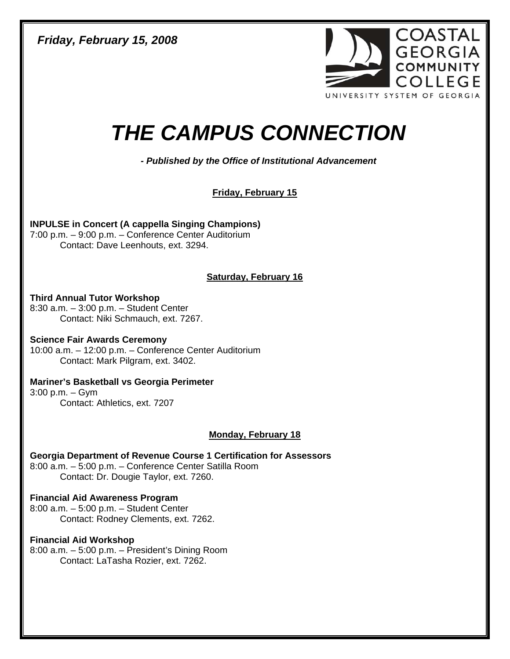*Friday, February 15, 2008* 



# *THE CAMPUS CONNECTION*

*- Published by the Office of Institutional Advancement* 

**Friday, February 15**

**INPULSE in Concert (A cappella Singing Champions)**  7:00 p.m. – 9:00 p.m. – Conference Center Auditorium Contact: Dave Leenhouts, ext. 3294.

# **Saturday, February 16**

**Third Annual Tutor Workshop**  8:30 a.m. – 3:00 p.m. – Student Center Contact: Niki Schmauch, ext. 7267.

**Science Fair Awards Ceremony**  10:00 a.m. – 12:00 p.m. – Conference Center Auditorium Contact: Mark Pilgram, ext. 3402.

**Mariner's Basketball vs Georgia Perimeter**  3:00 p.m. – Gym

Contact: Athletics, ext. 7207

# **Monday, February 18**

**Georgia Department of Revenue Course 1 Certification for Assessors**  8:00 a.m. – 5:00 p.m. – Conference Center Satilla Room Contact: Dr. Dougie Taylor, ext. 7260.

# **Financial Aid Awareness Program**

8:00 a.m. – 5:00 p.m. – Student Center Contact: Rodney Clements, ext. 7262.

# **Financial Aid Workshop**

8:00 a.m. – 5:00 p.m. – President's Dining Room Contact: LaTasha Rozier, ext. 7262.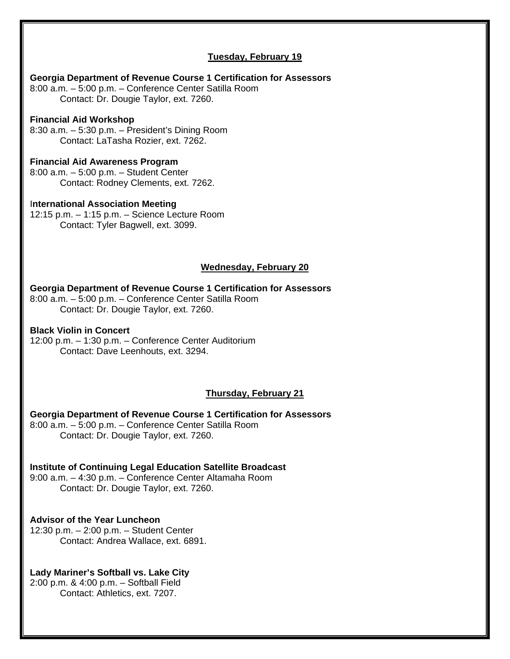# **Tuesday, February 19**

# **Georgia Department of Revenue Course 1 Certification for Assessors**  8:00 a.m. – 5:00 p.m. – Conference Center Satilla Room Contact: Dr. Dougie Taylor, ext. 7260. **Financial Aid Workshop**  8:30 a.m. – 5:30 p.m. – President's Dining Room Contact: LaTasha Rozier, ext. 7262. **Financial Aid Awareness Program**  8:00 a.m. – 5:00 p.m. – Student Center Contact: Rodney Clements, ext. 7262. I**nternational Association Meeting**  12:15 p.m. – 1:15 p.m. – Science Lecture Room Contact: Tyler Bagwell, ext. 3099. **Wednesday, February 20 Georgia Department of Revenue Course 1 Certification for Assessors**  8:00 a.m. – 5:00 p.m. – Conference Center Satilla Room Contact: Dr. Dougie Taylor, ext. 7260. **Black Violin in Concert**  12:00 p.m. – 1:30 p.m. – Conference Center Auditorium Contact: Dave Leenhouts, ext. 3294. **Thursday, February 21 Georgia Department of Revenue Course 1 Certification for Assessors**  8:00 a.m. – 5:00 p.m. – Conference Center Satilla Room Contact: Dr. Dougie Taylor, ext. 7260. **Institute of Continuing Legal Education Satellite Broadcast**  9:00 a.m. – 4:30 p.m. – Conference Center Altamaha Room Contact: Dr. Dougie Taylor, ext. 7260. **Advisor of the Year Luncheon**  12:30 p.m. – 2:00 p.m. – Student Center

Contact: Andrea Wallace, ext. 6891.

# **Lady Mariner's Softball vs. Lake City**

2:00 p.m. & 4:00 p.m. – Softball Field Contact: Athletics, ext. 7207.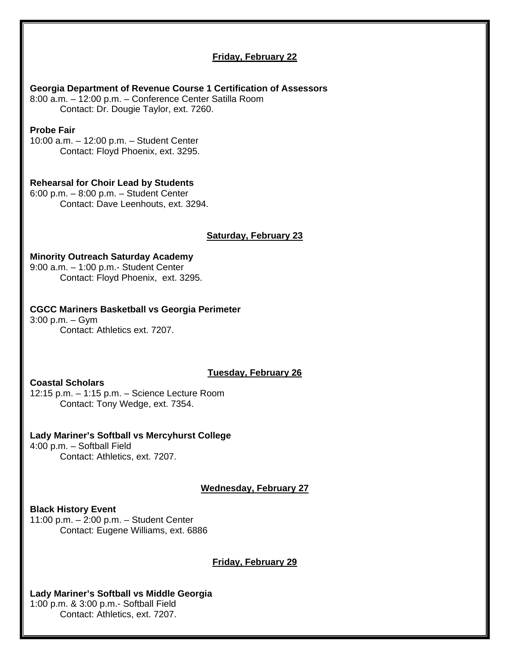## **Friday, February 22**

#### **Georgia Department of Revenue Course 1 Certification of Assessors**

8:00 a.m. – 12:00 p.m. – Conference Center Satilla Room Contact: Dr. Dougie Taylor, ext. 7260.

#### **Probe Fair**

10:00 a.m. – 12:00 p.m. – Student Center Contact: Floyd Phoenix, ext. 3295.

#### **Rehearsal for Choir Lead by Students**

6:00 p.m. – 8:00 p.m. – Student Center Contact: Dave Leenhouts, ext. 3294.

#### **Saturday, February 23**

### **Minority Outreach Saturday Academy**

9:00 a.m. – 1:00 p.m.- Student Center Contact: Floyd Phoenix, ext. 3295.

#### **CGCC Mariners Basketball vs Georgia Perimeter**

3:00 p.m. – Gym Contact: Athletics ext. 7207.

#### **Tuesday, February 26**

**Coastal Scholars** 

12:15 p.m. – 1:15 p.m. – Science Lecture Room Contact: Tony Wedge, ext. 7354.

#### **Lady Mariner's Softball vs Mercyhurst College**

4:00 p.m. – Softball Field Contact: Athletics, ext. 7207.

**Wednesday, February 27**

#### **Black History Event**

11:00 p.m. – 2:00 p.m. – Student Center Contact: Eugene Williams, ext. 6886

**Friday, February 29**

# **Lady Mariner's Softball vs Middle Georgia**  1:00 p.m. & 3:00 p.m.- Softball Field

Contact: Athletics, ext. 7207.